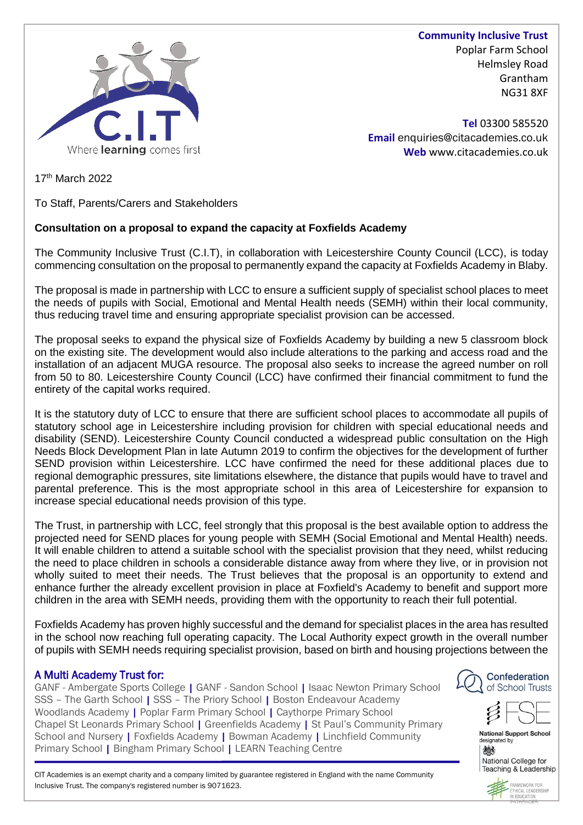

**Community Inclusive Trust** Poplar Farm School Helmsley Road Grantham NG31 8XF

**Tel** 03300 585520 **Email** enquiries@citacademies.co.uk **Web** www.citacademies.co.uk

17<sup>th</sup> March 2022

To Staff, Parents/Carers and Stakeholders

# **Consultation on a proposal to expand the capacity at Foxfields Academy**

The Community Inclusive Trust (C.I.T), in collaboration with Leicestershire County Council (LCC), is today commencing consultation on the proposal to permanently expand the capacity at Foxfields Academy in Blaby.

The proposal is made in partnership with LCC to ensure a sufficient supply of specialist school places to meet the needs of pupils with Social, Emotional and Mental Health needs (SEMH) within their local community, thus reducing travel time and ensuring appropriate specialist provision can be accessed.

The proposal seeks to expand the physical size of Foxfields Academy by building a new 5 classroom block on the existing site. The development would also include alterations to the parking and access road and the installation of an adjacent MUGA resource. The proposal also seeks to increase the agreed number on roll from 50 to 80. Leicestershire County Council (LCC) have confirmed their financial commitment to fund the entirety of the capital works required.

It is the statutory duty of LCC to ensure that there are sufficient school places to accommodate all pupils of statutory school age in Leicestershire including provision for children with special educational needs and disability (SEND). Leicestershire County Council conducted a widespread public consultation on the High Needs Block Development Plan in late Autumn 2019 to confirm the objectives for the development of further SEND provision within Leicestershire. LCC have confirmed the need for these additional places due to regional demographic pressures, site limitations elsewhere, the distance that pupils would have to travel and parental preference. This is the most appropriate school in this area of Leicestershire for expansion to increase special educational needs provision of this type.

The Trust, in partnership with LCC, feel strongly that this proposal is the best available option to address the projected need for SEND places for young people with SEMH (Social Emotional and Mental Health) needs. It will enable children to attend a suitable school with the specialist provision that they need, whilst reducing the need to place children in schools a considerable distance away from where they live, or in provision not wholly suited to meet their needs. The Trust believes that the proposal is an opportunity to extend and enhance further the already excellent provision in place at Foxfield's Academy to benefit and support more children in the area with SEMH needs, providing them with the opportunity to reach their full potential.

Foxfields Academy has proven highly successful and the demand for specialist places in the area has resulted in the school now reaching full operating capacity. The Local Authority expect growth in the overall number of pupils with SEMH needs requiring specialist provision, based on birth and housing projections between the

# A Multi Academy Trust for:

GANF - Ambergate Sports College | GANF - Sandon School | Isaac Newton Primary School SSS - The Garth School | SSS - The Priory School | Boston Endeavour Academy Woodlands Academy | Poplar Farm Primary School | Caythorpe Primary School Chapel St Leonards Primary School | Greenfields Academy | St Paul's Community Primary School and Nursery | Foxfields Academy | Bowman Academy | Linchfield Community Primary School | Bingham Primary School | LEARN Teaching Centre





**National Support School** designated by 燃 National College for

E CIT Academies is an exempt charity and a company limited by guarantee registered in England with the name Community Inclusive Trust. The company's registered number is 9071623.



Teaching & Leadership